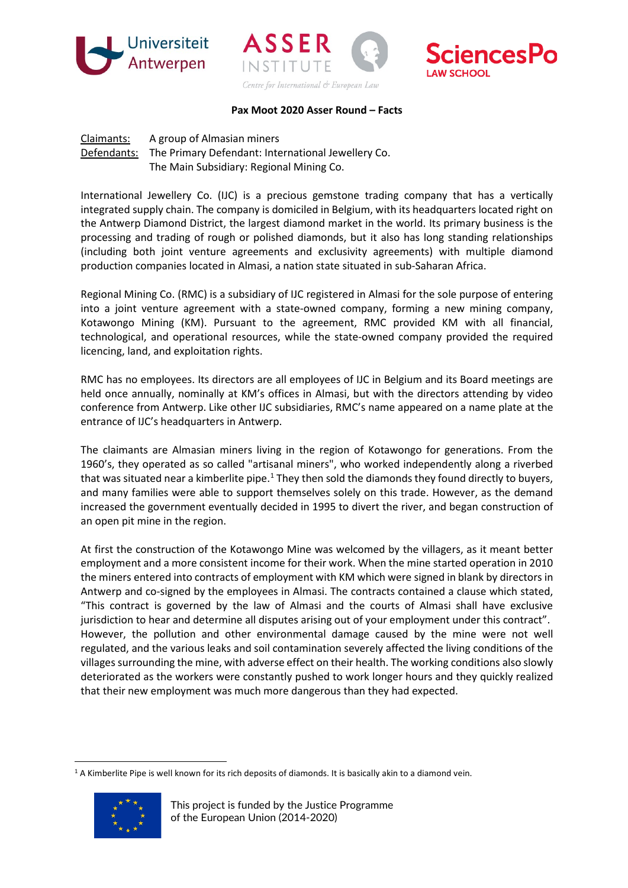





## **Pax Moot 2020 Asser Round – Facts**

Claimants: A group of Almasian miners Defendants: The Primary Defendant: International Jewellery Co. The Main Subsidiary: Regional Mining Co.

International Jewellery Co. (IJC) is a precious gemstone trading company that has a vertically integrated supply chain. The company is domiciled in Belgium, with its headquarters located right on the Antwerp Diamond District, the largest diamond market in the world. Its primary business is the processing and trading of rough or polished diamonds, but it also has long standing relationships (including both joint venture agreements and exclusivity agreements) with multiple diamond production companies located in Almasi, a nation state situated in sub-Saharan Africa.

Regional Mining Co. (RMC) is a subsidiary of IJC registered in Almasi for the sole purpose of entering into a joint venture agreement with a state-owned company, forming a new mining company, Kotawongo Mining (KM). Pursuant to the agreement, RMC provided KM with all financial, technological, and operational resources, while the state-owned company provided the required licencing, land, and exploitation rights.

RMC has no employees. Its directors are all employees of IJC in Belgium and its Board meetings are held once annually, nominally at KM's offices in Almasi, but with the directors attending by video conference from Antwerp. Like other IJC subsidiaries, RMC's name appeared on a name plate at the entrance of IJC's headquarters in Antwerp.

The claimants are Almasian miners living in the region of Kotawongo for generations. From the 1960's, they operated as so called "artisanal miners", who worked independently along a riverbed that was situated near a kimberlite pipe. $1$  They then sold the diamonds they found directly to buyers, and many families were able to support themselves solely on this trade. However, as the demand increased the government eventually decided in 1995 to divert the river, and began construction of an open pit mine in the region.

At first the construction of the Kotawongo Mine was welcomed by the villagers, as it meant better employment and a more consistent income for their work. When the mine started operation in 2010 the miners entered into contracts of employment with KM which were signed in blank by directors in Antwerp and co-signed by the employees in Almasi. The contracts contained a clause which stated, "This contract is governed by the law of Almasi and the courts of Almasi shall have exclusive jurisdiction to hear and determine all disputes arising out of your employment under this contract". However, the pollution and other environmental damage caused by the mine were not well regulated, and the various leaks and soil contamination severely affected the living conditions of the villages surrounding the mine, with adverse effect on their health. The working conditions also slowly deteriorated as the workers were constantly pushed to work longer hours and they quickly realized that their new employment was much more dangerous than they had expected.

<span id="page-0-0"></span> $1A$  Kimberlite Pipe is well known for its rich deposits of diamonds. It is basically akin to a diamond vein.